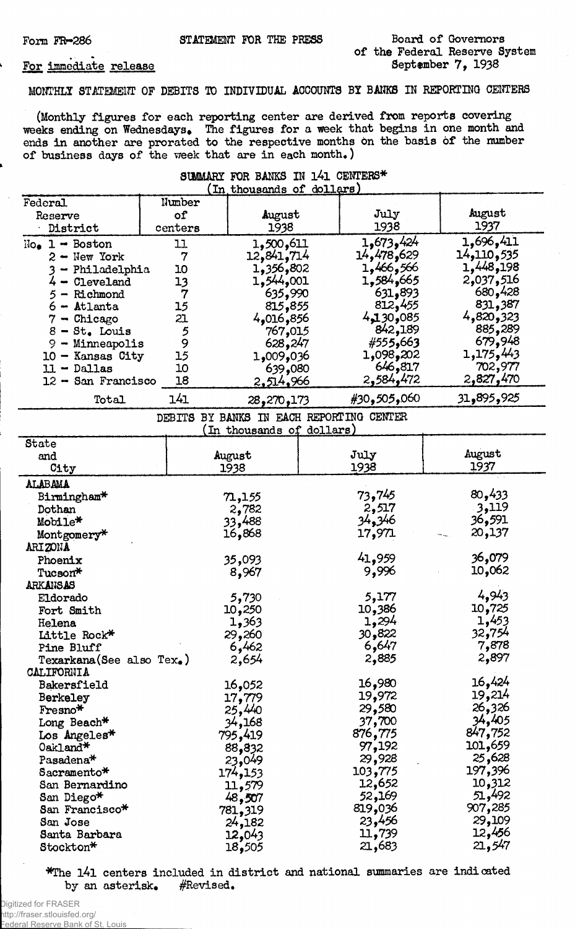## Board of Governors of the Federal Reserve System September 7, 1938

## For immediate release

MONTHLY STATEMENT OF DEBITS TO INDIVIDUAL ACCOUNTS BY BANKS IN REPORTING CENTERS

(Monthly figures for each reporting center are derived from reports covering weeks ending on Wednesdays. The figures for a week that begins in one month and ends in another are prorated to the respective months on the basis of the number of business days of the week that are in each month,)

| SUMMARY FOR BANKS IN 141 CENTERS*      |                  |                           |                                          |                      |
|----------------------------------------|------------------|---------------------------|------------------------------------------|----------------------|
|                                        |                  | (In thousands of dollars) |                                          |                      |
| Federal                                | Number           |                           |                                          | August               |
| Reserve                                | of               | August                    | July<br>1938                             | 1937                 |
| District                               | centers          | 1938                      |                                          |                      |
| $Noe 1 - Boston$                       | 11               | 1,500,611                 | 1,673,424                                | 1,696,411            |
| $2 - New York$                         | 7                | 12,841,714                | 14,478,629                               | 14,110,535           |
| 3 - Philadelphia                       | 10               | 802,356,30                | 1,466,566                                | 1,448,198            |
| $4-$ Cleveland                         | 13               | 1,544,001                 | 1,584,665                                | 2,037,516            |
| 5 - Richmond                           | $\boldsymbol{7}$ | 635,990                   | 631,893                                  | 680,428              |
| 6 - Atlanta                            | 15               | 815,855                   | 812,455                                  | 831,387<br>4,820,323 |
| $7 -$ Chicago                          | 21               | 4,016,856                 | 4,130,085<br>842,189                     | 885,289              |
| $8 - St$ . Louis                       | 5<br>9           | 767,015                   |                                          | 679,948              |
| 9 - Minneapolis                        |                  | 628,247                   | #555,663                                 | 1,175,443            |
| 10 - Kansas City                       | 15<br>10         | 036و009و1                 | 1,098,202<br>646,817                     | 702,977              |
| $11 - Dallas$<br>$12 -$ San Francisco  | 18               | 639,080                   | 2,584,472                                | 2,827,470            |
|                                        |                  | 2,514,966                 |                                          |                      |
| Total                                  | 141              | 28,270,173                | #30,505,060                              | 31,895,925           |
|                                        |                  | In thousands of dollars)  | DEBITS BY BANKS IN EACH REPORTING CENTER |                      |
| State                                  |                  |                           |                                          |                      |
| and                                    |                  | August                    | July                                     | August               |
| City                                   |                  | 1938                      | 1938                                     | 1937                 |
| ALABAMA                                |                  |                           |                                          |                      |
| Birmingham*                            |                  | 71,155                    | 73,745                                   | 80,433               |
| Dothan                                 |                  | 2,782                     | 2,517                                    | 3,119                |
| Mobile*                                |                  | 33,488                    | 34,346                                   | 36,591               |
| Montgomery*                            |                  | 16,868                    | 17,971                                   | 20,137               |
| ARIZONA                                |                  |                           |                                          |                      |
| Phoenix                                |                  | 35,093                    | 41,959                                   | 36,079               |
| Tucson*                                |                  | 8,967                     | 9,996                                    | 10,062               |
| <b>ARKANSAS</b>                        |                  |                           |                                          |                      |
| Eldorado                               |                  | 5,730                     | 5,177                                    | 4,943                |
| Fort Smith                             |                  | 10,250                    | 10,386                                   | 10,725               |
| Helena                                 |                  | 1,363                     | 1,294                                    | 1,453                |
| Little Rock*                           |                  | 29,260                    | 30,822                                   | 32,754               |
| Pine Bluff                             |                  | 6,462                     | 6,647                                    | 7,878                |
| Texarkana(See also Tex.)<br>CALIFORNIA |                  | 2,654                     | 2,885                                    | 2,897                |
| Bakersfield                            |                  | 16,052                    | 16,980                                   | 16,424               |
| Berkeley                               |                  | 17,779                    | 19,972                                   | 19,214               |
| Fresno*                                |                  | 25,440                    | 29,580                                   | 26,326               |
| Long Beach*                            |                  | 34,168                    | 37,700                                   | 34,405               |
| $\texttt{Los Angeles*}$                |                  | 795,419                   | 876,775                                  | 847,752              |
| Oakland*                               |                  | 88,832                    | 97,192                                   | 101,659              |
| $\texttt{Pasadena*}$                   |                  | 23,049                    | 29,928                                   | 25,628               |
| Sacramento*                            |                  | 174 <b>,</b> 153          | 103,775                                  | 197,396              |
| San Bernardino                         |                  | 11,579                    | 12,652                                   | 10,312               |
| San Diego*                             |                  | 48,507                    | 52,169                                   | 51,492               |
| San Francisco*                         |                  | 781,319                   | 819,036                                  | 907,285              |
| San Jose                               |                  | 24,182                    | 23,456                                   | 29,109               |
| Santa Barbara                          |                  | 12,043                    | 11,739                                   | 12,456               |
| Stockton*                              |                  | 18,505                    | 21,683                                   | 21,547               |

\*The l4l centers included in district and national summaries are indicated by an asterisk, #Revised.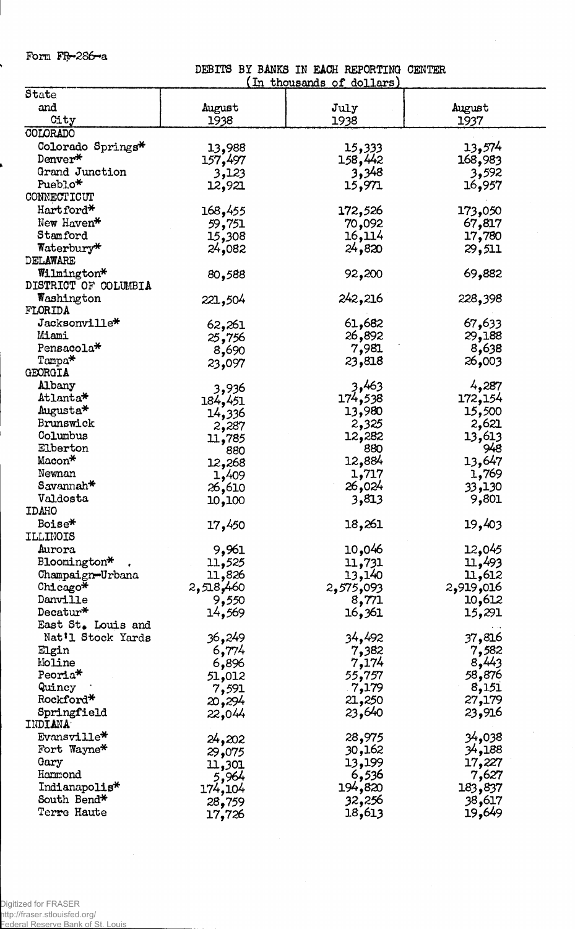Form FR-286-a

DEBITS BY BANKS IN EACH REPORTINQ CENTER

|                        |                  | <u>In thousands of dollars</u> |           |
|------------------------|------------------|--------------------------------|-----------|
| State                  |                  |                                |           |
| and                    | August           | July                           | August    |
| City                   | 1938             | 1938                           | 1937      |
| COLORADO               |                  |                                |           |
| Colorado Springs*      | 13,988           | 15,333                         | 13,574    |
| Denver*                | 157,497          | 158,442                        | 168,983   |
| Grand Junction         | 3,123            | 3,348                          | 3,592     |
| Pueblo*                | 12,921           | 15,971                         | 16,957    |
| CONNECTICUT            |                  |                                |           |
| Hartford*              |                  |                                |           |
|                        | 168,455          | 172,526                        | 173,050   |
| New Haven*             | 59,751           | 70,092                         | 67,817    |
| Stamford               | 15,308           | 16,114                         | 17,780    |
| Waterbury*             | 24,082           | 24,820                         | 29,511    |
| DELAWARE               |                  |                                |           |
| Wilmington*            | 80,588           | 92,200                         | 69,882    |
| DISTRICT OF COLUMBIA   |                  |                                |           |
| Washington             | 221,504          | 242,216                        | 228,398   |
| FLORIDA                |                  |                                |           |
| Jacksonville*          | 62,261           | 61,682                         | 67,633    |
| Miami                  | 25,756           | 26,892                         | 29,188    |
| Pensacola*             | 8,690            | 7,981                          | 8,638     |
| Tampa*                 | 23,097           | 23,818                         | 26,003    |
| GEORGIA                |                  |                                |           |
| Albany                 |                  | 3,463                          | 4,287     |
| Atlanta*               | 3,936            | 174 <b>,</b> 538               | 172,154   |
| Augusta*               | 184 <b>,</b> 451 |                                | 15,500    |
| Brunswick              | 14,336           | 13,980                         |           |
| Columbus               | 2,287            | 2,325                          | 2,621     |
|                        | 11,785           | 12,282                         | 13,613    |
| Elberton               | 880              | 880                            | 948       |
| Macon*                 | 12,268           | 12,884                         | 13,647    |
| Newnan                 | 1,409            | 1,717                          | 1,769     |
| Savannah*              | 26,610           | 26,024                         | 33,130    |
| Valdosta               | 10,100           | 3,813                          | 9,801     |
| <b>IDAHO</b>           |                  |                                |           |
| Boise*                 | 17,450           | 18,261                         | 19,403    |
| ILLINOIS               |                  |                                |           |
| Aurora                 | 9,961            | 10,046                         | 12,045    |
| Bloomington*           | 11,525           | 11,731                         | 11,493    |
| Champaign-Urbana       | 11,826           | 13,140                         | 11,612    |
| Chicago*               | 2,518,460        | 2,575,093                      | 2,919,016 |
| Danville               | 9,550            | 8,771                          | 10,612    |
| Decatur $*$            | 14,569           | 16,361                         | 15,291    |
| East St. Louis and     |                  |                                |           |
| Nat'l Stock Yards      | 36,249           | 34,492                         | 37,816    |
| Elgin                  | 6,774            |                                | 7,582     |
| Moline                 |                  | 7,382                          | 8,443     |
| Peoria <sup>*</sup>    | 6,896            | 7,174                          | 58,876    |
|                        | 51,012           | 55,757                         |           |
| Quincy                 | 7,591            | 7,179                          | 8,151     |
| Rockford*              | 20,294           | 21,250                         | 27,179    |
| Springfield<br>INDIANA | 22,044           | 23,640                         | 23,916    |
| Evansville*            | 24,202           | 28,975                         | 038,4ع    |
| Fort Wayne*            | 29,075           | 30,162                         | 34,188    |
| Gary                   | 11,301           | 13,199                         | 17,227    |
| Hammond                | 5,964            | 6,536                          | 7,627     |
| Indianapolis*          | 174,104          | 194,820                        | 183,837   |
| South Bend*            |                  | 32,256                         | 38,617    |
| Terre Haute            | 28,759<br>17,726 | 18,613                         | 19,649    |
|                        |                  |                                |           |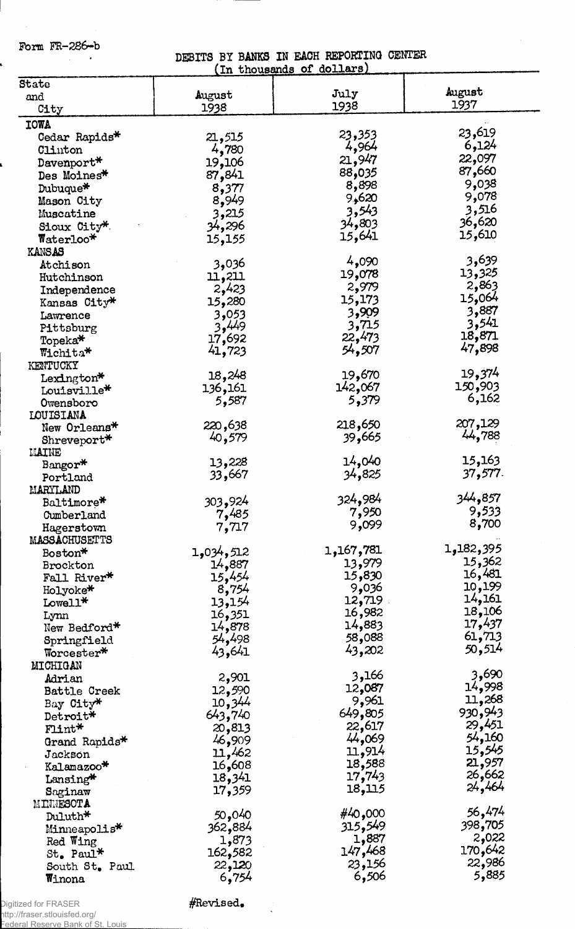Form FR-286~b

í

 $\overline{\phantom{a}}$  $\hat{\boldsymbol{\beta}}$ 

## DEBITS BY BANKS IN EACH REPORTING CENTER (In thousands of dollars)

|                          |           | TU ruonsands of dortans) |                 |
|--------------------------|-----------|--------------------------|-----------------|
| State                    |           |                          |                 |
| and                      | August    | July                     | August<br>1937  |
| City                     | 1938      | 1938                     |                 |
| <b>IOWA</b>              |           |                          |                 |
| Cedar Rapids*            | 21,515    | 23,353                   | 23,619          |
| Clinton                  | 4,780     | 4,964                    | 6,124           |
| Davenport*               | 19,106    | 21,947                   | 22,097          |
| Des Moines*              | 87,841    | 88,035                   | 87,660          |
| Dubuque*                 | 8,377     | 8,898                    | 9,038           |
| Mason City               | 8,949     | 9,620                    | 9,078           |
| Muscatine                | 3,215     | 3,543                    | 3,516           |
| Sioux City*              | 34,296    | 34,803                   | 36,620          |
|                          |           | 15,641                   | 15,610          |
| $\texttt{Match}$         | 15,155    |                          |                 |
| <b>KANSAS</b>            |           | 4,090                    | 3,639           |
| Atchison                 | 3,036     | 19,078                   | 13,325          |
| Hutchinson               | 11,211    | 2,979                    | 2,863           |
| Independence             | 2,423     |                          | 15,064          |
| Kansas City*             | 15,280    | 15,173                   | 3,887           |
| Lawrence                 | 3,053     | 3,909                    |                 |
| Pittsburg                | 3,449     | 3,715                    | 3,541           |
| Topeka <sup>*</sup>      | 17,692    | 22,473                   | 18,871          |
| Wichita*                 | 41,723    | 54,507                   | 47,898          |
| KENTUCKY                 |           |                          |                 |
| Lexington $*$            | 18,248    | 19,670                   | 19 <b>,</b> 374 |
| Louisville*              | 136,161   | 142,067                  | 150,903         |
| Owensboro                | 5,587     | 5,379                    | 6,162           |
| LOUISIANA                |           |                          |                 |
| New Orleans*             | 220,638   | 218,650                  | 207,129         |
| Shreveport*              | 40,579    | 39,665                   | 44,788          |
| MAINE                    |           |                          |                 |
| Bangor*                  | 13,228    | 14,040                   | 15,163          |
| Portland                 | 33,667    | 34,825                   | 37,577.         |
| MARYLAND                 |           |                          |                 |
| Baltimore*               | 303,924   | 324,984                  | 344,857         |
| Cumberland               | 7,485     | 7,950                    | 9,533           |
|                          |           | 9,099                    | 8,700           |
| Hagerstown               | 7,717     |                          |                 |
| MASSACHUSETTS            |           | 1,167,781                | 1,182,395       |
| Boston*                  | 1,034,512 |                          | 15,362          |
| Brockton                 | 14,887    | 13,979                   | 16,481          |
| Fall River*              | 15,454    | 15,830                   | 10,199          |
| Holyoke*                 | 8,754     | 9,036                    |                 |
| Lowell*                  | 13,154    | 12,719                   | 14,161          |
| Lynn                     | 16,351    | 16,982                   | 18,106          |
| New Bedford*             | 14,878    | 14,883                   | 17,437          |
| Springfield              | 54,498    | 088,58                   | 61,713          |
| Worcester*               | 43,641    | 43,202                   | 50,514          |
| MICHIGAN                 |           |                          |                 |
| Adrian                   | 2,901     | 3,166                    | 3,690           |
| Battle Creek             | 12,590    | 12,087                   | 14,998          |
| Bay City*                | 10,344    | 9,961                    | 11,268          |
| Detroit*                 | 643,740   | 649,805                  | 930,943         |
| $F1$ int $*$             | 20,813    | 22,617                   | 29,451          |
| Grand Rapids*            | 46,909    | 44,069                   | 54,160          |
| $J$ ackson               | 11,462    | 11,914                   | 15,545          |
| Kalamazoo*               | 16,608    | 18,588                   | 21,957          |
|                          | 18,341    | 17,743                   | 26,662          |
| Lansing*                 | 17,359    | 18,115                   | 24,464          |
| Saginaw                  |           |                          |                 |
| MINNESOTA                |           | #40,000                  | 56,474          |
| Duluth*                  | 50,040    | 315,549                  | 398,705         |
| Minneapolis <sup>*</sup> | 362,884   |                          | 2,022           |
| Red Wing                 | 1,873     | 1,887                    | 170,642         |
| St. Paul*                | 162,582   | 147,468                  |                 |
| South St. Paul           | 22,120    | 23,156                   | 22,986          |
| Winona                   | 6,754     | 6,506                    | 5,885           |

Digitized for FRASER http://fraser.stlouisfed.org/

Federal Reserve Bank of St. Louis

 $#$ Revised.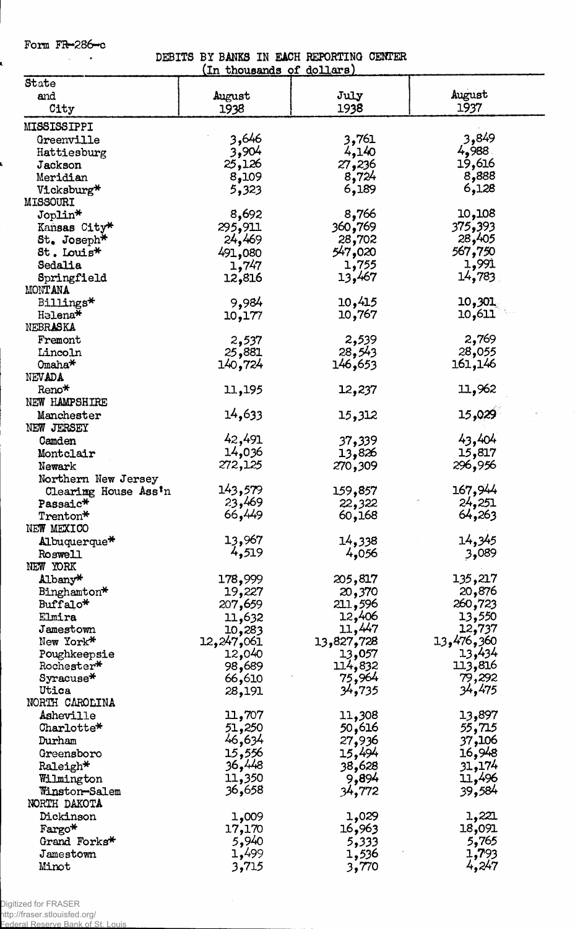Form  $FR-286-c$ 

í.

## DEBITS BY BANKS IN EACH REPORTING CENTER<br>(In thousands of dollars)

|                        | <u>In thousands of dollars</u> |            |            |
|------------------------|--------------------------------|------------|------------|
| State                  |                                |            |            |
| and                    | August                         | July       | August     |
| City                   | 1938                           | 1938       | 1937       |
| MISSISSIPPI            |                                |            |            |
| Greenville             | 3,646                          | 3,761      | 3,849      |
| Hattiesburg            | 3,904                          | 4,140      | 4,988.     |
| Jackson                | 25,126                         | 27,236     | 19,616     |
| Meridian               | 8,109                          | 8,724      | 8,888      |
| Vicksburg*             | 5,323                          | 6,189      | 6,128      |
| <b>MISSOURI</b>        |                                |            |            |
| Joplin*                | 8,692                          | 8,766      | 10,108     |
| Kansas City*           | 295,911                        | 360,769    | 375,393    |
| St. Joseph*            | 24,469                         | 28,702     | 28,405     |
| St. Louis <sup>*</sup> | 491,080                        | 547,020    | 567,750    |
| Sedalia                | 1,747                          | 1,755      | 1,991      |
| Springfield            | 12,816                         | 13,467     | 14,783     |
| <b>MONTANA</b>         |                                |            |            |
| Billings*              | 9,984                          | 10,415     | 10,301     |
| Helena*                | 10,177                         | 10,767     | 10,611     |
| NEBRASKA               |                                |            |            |
| Fremont                | 2,537                          | 2,539      | 2,769      |
| Lincoln                | 25,881                         | 28,543     | 28,055     |
| Omaha <sup>*</sup>     | 140,724                        | 146,653    | 161,146    |
| NEVADA                 |                                |            |            |
| Reno*                  | 11,195                         | 12,237     | 11,962     |
| NEW HAMPSHIRE          |                                |            |            |
| Manchester             | 14,633                         | 15,312     | 15,029     |
| NEW JERSEY             |                                |            |            |
| Camden                 | 42,491                         | 37,339     | 43,404     |
| Montclair              | 14,036                         | 13,826     | 15,817     |
| Newark                 | 272,125                        | 270,309    | 296,956    |
| Northern New Jersey    |                                |            |            |
| Clearing House Ass'n   | 143,579                        | 159,857    | 167,944    |
| Passaic*               | 23,469                         | 22,322     | 24,251     |
| Trenton*               | 66,449                         | 60,168     | 64,263     |
| NEW MEXICO             |                                |            |            |
| Albuquerque*           | 13,967                         | 14,338     | 14,345     |
| Roswell                | 4,519                          | 4,056      | 3,089      |
| NEW YORK               |                                |            |            |
| Albany*                | 178,999                        | 205,817    | 135,217    |
| Binghamton*            | 19,227                         | 20,370     | 20,876     |
| Buffalo*               | 207,659                        | 211,596    | 260,723    |
| Elmira                 | 11,632                         | 12,406     | 13,550     |
| Jamestown              | 10,283                         | 11,447     | 12,737     |
| New York*              | 12,247,061                     | 13,827,728 | 13,476,360 |
| Poughkeepsie           | 12,040                         | 13,057     | 13,434     |
| Rochester*             | 98,689                         | 114,832    | 113,816    |
| $Syracuse*$            | 66,610                         | 75,964     | 79,292     |
| Utica                  | 28,191                         | 34,735     | 34,475     |
| NORTH CAROLINA         |                                |            |            |
| Asheville              | 11,707                         | 11,308     | 13,897     |
| Charlotte*             | 51,250                         | 50,616     | 55,715     |
| Durham                 | 46,634                         | 27,936     | 37,106     |
| Greensboro             | 15,556                         | 15,494     | 16,948     |
| Raleigh*               | 36,448                         | 38,628     | 31,174     |
| Wilmington             | 11,350                         | 9,894      | 11,496     |
| Winston-Salem          | 36,658                         | 34,772     | 39,584     |
| NORTH DAKOTA           |                                |            |            |
| Dickinson              | 1,009                          | 1,029      | 1,221      |
| Fargo*                 | 17,170                         | 16,963     | 18,091     |
| Grand Forks*           | 5,940                          | 5,333      | 5,765      |
| Jamestown              | 1,499                          | 1,536      | 1,793      |
| Minot                  | 3,715                          | 3,770      | 4,247      |

Digitized for FRASER

http://fraser.stlouisfed.org/ Federal Reserve Bank of St. Louis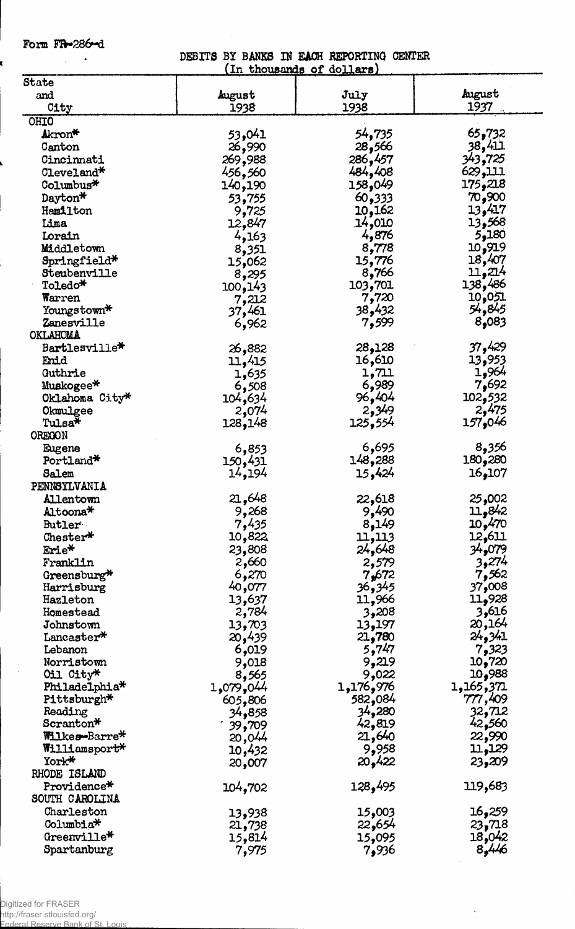Form FR-286-d

ź

DEBITS BY BANKS IN EACH REPORTING CENTER

|                           |           | <u>In thousands of dollars</u> |                 |
|---------------------------|-----------|--------------------------------|-----------------|
| State                     |           |                                |                 |
| and                       | August    | July                           | August          |
| City                      | 1938      | 1938                           | 1937            |
| OHIO                      |           |                                |                 |
| Akron*                    | 53,041    | 54 <b>,</b> 735                | 65,732          |
| Canton                    | 26,990    | 28,566                         | 38,411          |
| Cincinnati                | 269,988   | 286,457                        | 343,725         |
| Cleveland*                | 456,560   | 484,408                        | <u>111,</u> 629 |
| Columbus*                 | 140,190   | 158,049                        | 175,218         |
|                           |           |                                | 70,900          |
| Dayton*                   | 53,755    | 60,333                         |                 |
| Hamilton                  | 9,725     | 10,162                         | 13,417          |
| Lima                      | 12,847    | 14,010                         | 13,568          |
| Lorain                    | 4,163     | 4,876                          | 5,180           |
| Middletown                | 8,351     | 8,778                          | 10,919          |
| Springfield*              | 15,062    | 15,776                         | 18,407          |
| Steubenville              | 8,295     | 8,766                          | 11,214          |
| Toledo*                   | 100,143   | 103,701                        | 138,486         |
| Warren                    | 7,212     | 7,720                          | 10,051          |
| Youngstown*               | 37,461    | 432ھ38                         | 54,845          |
| Zanesville                | 6,962     | 7,599                          | 8,083           |
| OKLAHOMA                  |           |                                |                 |
| Bartlesville*             | 26,882    | 28,128                         | 429 و37         |
| Enid                      | 11,415    | 16,610                         | 13,953          |
| Guthrie                   | 1,635     | 1,711                          | 1,964           |
|                           |           | 6,989                          | 7,692           |
| Muskogee*                 | 6,508     |                                |                 |
| Oklahoma City*            | 104,634   | 96,404                         | 102,532         |
| Okmulgee                  | 2,074     | 2,349                          | 2,475           |
| Tulsa*                    | 128,148   | 125,554                        | 157,046         |
| OREGON                    |           |                                |                 |
| Eugene                    | 6,853     | 6,695                          | 8,356           |
| Portland*                 | 150,431   | 148,288                        | 180,280         |
| Salem                     | 14,194    | 15,424                         | 16,107          |
| PENNSYLVANIA              |           |                                |                 |
| <b>Allentown</b>          | 21,648    | 22,618                         | 25,002          |
| Altoona*                  | 9,268     | 9,490                          | 11,842          |
| <b>Butler</b>             | 7,435     | 8,149                          | 10,470          |
| Chester*                  | 10,822    | 11,113                         | 12,611          |
| Erie*                     |           |                                | 34,079          |
|                           | 23,808    | 24,648                         |                 |
| Franklin                  | 2,660     | 2,579                          | 3,274           |
| Greensburg*               | 6,270     | 7,672                          | 7,562           |
| Harrisburg                | 40,077    | 36,345                         | 37,008          |
| Hazleton                  | 13,637    | 11,966                         | 11,928          |
| Homestead                 | 2,784     | 3,208                          | 3,616           |
| Johnstown                 | 13,703    | 13,197                         | 20,164          |
| Lancaster*                | 20,439    | 21,780                         | 24,341          |
| Lebanon                   | 6,019     | 5,747                          | 7,323           |
| Norristown                | 9,018     | 9,219                          | 10,720          |
| Oil City*                 | 8,565     | 9,022                          | 10,988          |
| Philadelphia <sup>*</sup> | 1,079,044 | 1,176,976                      | 1,165,371       |
| Pittsburgh*               | 605,806   | 582,084                        | 777,409         |
| Reading                   | 34,858    | 34,280                         | 32,712          |
| Scranton*                 |           | 42,819                         | 42,560          |
| Wilkes-Barre*             | 39,709    |                                | 22,990          |
|                           | 20,044    | 21,640                         |                 |
| Williamsport*             | 10,432    | 9,958                          | 11,129          |
| York*                     | 20,007    | 20,422                         | 23,209          |
| RHODE ISLAND              |           |                                |                 |
| Providence*               | 104,702   | 128,495                        | 119,683         |
| SOUTH CAROLINA            |           |                                |                 |
| Charleston                | 13,938    | 15,003                         | 16,259          |
| Columbia*                 | 21,738    | 22,654                         | 23,718          |
| Greenville*               | 15,814    | 15,095                         | 18,042          |
| Spartanburg               | 7,975     | 7,936                          | 8,446           |
|                           |           |                                |                 |
|                           |           |                                |                 |

 $\hat{\mathbf{g}}$